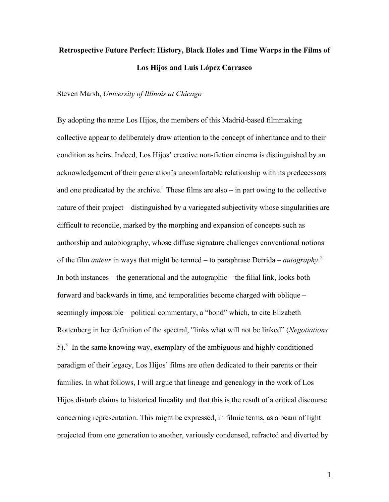# **Retrospective Future Perfect: History, Black Holes and Time Warps in the Films of Los Hijos and Luis López Carrasco**

Steven Marsh, *University of Illinois at Chicago*

By adopting the name Los Hijos, the members of this Madrid-based filmmaking collective appear to deliberately draw attention to the concept of inheritance and to their condition as heirs. Indeed, Los Hijos' creative non-fiction cinema is distinguished by an acknowledgement of their generation's uncomfortable relationship with its predecessors and one predicated by the archive.<sup>1</sup> These films are also – in part owing to the collective nature of their project – distinguished by a variegated subjectivity whose singularities are difficult to reconcile, marked by the morphing and expansion of concepts such as authorship and autobiography, whose diffuse signature challenges conventional notions of the film *auteur* in ways that might be termed – to paraphrase Derrida – *autography*. 2 In both instances – the generational and the autographic – the filial link, looks both forward and backwards in time, and temporalities become charged with oblique – seemingly impossible – political commentary, a "bond" which, to cite Elizabeth Rottenberg in her definition of the spectral, "links what will not be linked" (*Negotiations*  5).<sup>3</sup> In the same knowing way, exemplary of the ambiguous and highly conditioned paradigm of their legacy, Los Hijos' films are often dedicated to their parents or their families. In what follows, I will argue that lineage and genealogy in the work of Los Hijos disturb claims to historical lineality and that this is the result of a critical discourse concerning representation. This might be expressed, in filmic terms, as a beam of light projected from one generation to another, variously condensed, refracted and diverted by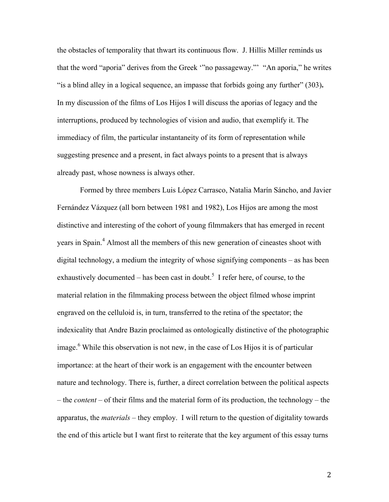the obstacles of temporality that thwart its continuous flow. J. Hillis Miller reminds us that the word "aporia" derives from the Greek '"no passageway."' "An aporia," he writes "is a blind alley in a logical sequence, an impasse that forbids going any further" (303)**.**  In my discussion of the films of Los Hijos I will discuss the aporias of legacy and the interruptions, produced by technologies of vision and audio, that exemplify it. The immediacy of film, the particular instantaneity of its form of representation while suggesting presence and a present, in fact always points to a present that is always already past, whose nowness is always other.

Formed by three members Luis López Carrasco, Natalia Marín Sáncho, and Javier Fernández Vázquez (all born between 1981 and 1982), Los Hijos are among the most distinctive and interesting of the cohort of young filmmakers that has emerged in recent years in Spain.<sup>4</sup> Almost all the members of this new generation of cineastes shoot with digital technology, a medium the integrity of whose signifying components – as has been exhaustively documented – has been cast in doubt.<sup>5</sup> I refer here, of course, to the material relation in the filmmaking process between the object filmed whose imprint engraved on the celluloid is, in turn, transferred to the retina of the spectator; the indexicality that Andre Bazin proclaimed as ontologically distinctive of the photographic image.<sup>6</sup> While this observation is not new, in the case of Los Hijos it is of particular importance: at the heart of their work is an engagement with the encounter between nature and technology. There is, further, a direct correlation between the political aspects – the *content* – of their films and the material form of its production, the technology – the apparatus, the *materials* – they employ. I will return to the question of digitality towards the end of this article but I want first to reiterate that the key argument of this essay turns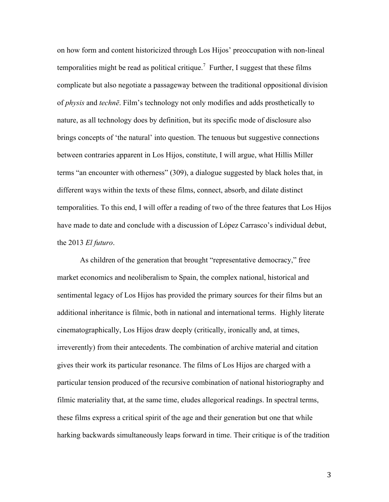on how form and content historicized through Los Hijos' preoccupation with non-lineal temporalities might be read as political critique.<sup>7</sup> Further, I suggest that these films complicate but also negotiate a passageway between the traditional oppositional division of *physis* and *technē*. Film's technology not only modifies and adds prosthetically to nature, as all technology does by definition, but its specific mode of disclosure also brings concepts of 'the natural' into question. The tenuous but suggestive connections between contraries apparent in Los Hijos, constitute, I will argue, what Hillis Miller terms "an encounter with otherness" (309), a dialogue suggested by black holes that, in different ways within the texts of these films, connect, absorb, and dilate distinct temporalities. To this end, I will offer a reading of two of the three features that Los Hijos have made to date and conclude with a discussion of López Carrasco's individual debut, the 2013 *El futuro*.

As children of the generation that brought "representative democracy," free market economics and neoliberalism to Spain, the complex national, historical and sentimental legacy of Los Hijos has provided the primary sources for their films but an additional inheritance is filmic, both in national and international terms. Highly literate cinematographically, Los Hijos draw deeply (critically, ironically and, at times, irreverently) from their antecedents. The combination of archive material and citation gives their work its particular resonance. The films of Los Hijos are charged with a particular tension produced of the recursive combination of national historiography and filmic materiality that, at the same time, eludes allegorical readings. In spectral terms, these films express a critical spirit of the age and their generation but one that while harking backwards simultaneously leaps forward in time. Their critique is of the tradition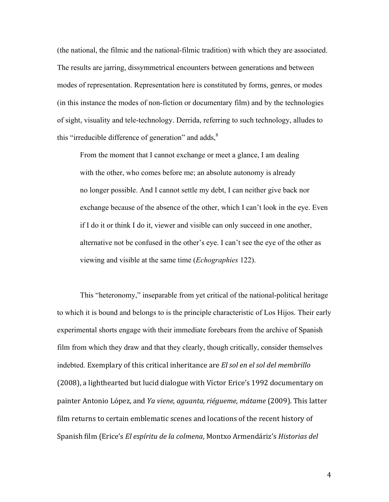(the national, the filmic and the national-filmic tradition) with which they are associated. The results are jarring, dissymmetrical encounters between generations and between modes of representation. Representation here is constituted by forms, genres, or modes (in this instance the modes of non-fiction or documentary film) and by the technologies of sight, visuality and tele-technology. Derrida, referring to such technology, alludes to this "irreducible difference of generation" and adds, $8$ 

From the moment that I cannot exchange or meet a glance, I am dealing with the other, who comes before me; an absolute autonomy is already no longer possible. And I cannot settle my debt, I can neither give back nor exchange because of the absence of the other, which I can't look in the eye. Even if I do it or think I do it, viewer and visible can only succeed in one another, alternative not be confused in the other's eye. I can't see the eye of the other as viewing and visible at the same time (*Echographies* 122).

This "heteronomy," inseparable from yet critical of the national-political heritage to which it is bound and belongs to is the principle characteristic of Los Hijos. Their early experimental shorts engage with their immediate forebears from the archive of Spanish film from which they draw and that they clearly, though critically, consider themselves indebted. Exemplary of this critical inheritance are *El sol en el sol del membrillo* (2008), a lighthearted but lucid dialogue with Víctor Erice's 1992 documentary on painter Antonio López, and *Ya viene, aguanta, riégueme, mátame* (2009). This latter film returns to certain emblematic scenes and locations of the recent history of Spanish film (Erice's *El espíritu de la colmena*, Montxo Armendáriz's *Historias del*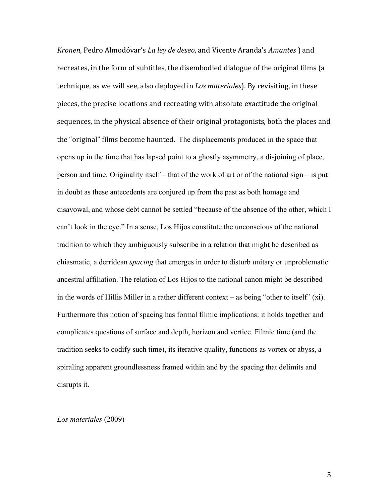*Kronen*, Pedro Almodóvar's *La ley de deseo*, and Vicente Aranda's *Amantes* ) and recreates, in the form of subtitles, the disembodied dialogue of the original films (a technique, as we will see, also deployed in *Los materiales*). By revisiting, in these pieces, the precise locations and recreating with absolute exactitude the original sequences, in the physical absence of their original protagonists, both the places and the "original" films become haunted. The displacements produced in the space that opens up in the time that has lapsed point to a ghostly asymmetry, a disjoining of place, person and time. Originality itself – that of the work of art or of the national sign – is put in doubt as these antecedents are conjured up from the past as both homage and disavowal, and whose debt cannot be settled "because of the absence of the other, which I can't look in the eye." In a sense, Los Hijos constitute the unconscious of the national tradition to which they ambiguously subscribe in a relation that might be described as chiasmatic, a derridean *spacing* that emerges in order to disturb unitary or unproblematic ancestral affiliation. The relation of Los Hijos to the national canon might be described – in the words of Hillis Miller in a rather different context – as being "other to itself"  $(xi)$ . Furthermore this notion of spacing has formal filmic implications: it holds together and complicates questions of surface and depth, horizon and vertice. Filmic time (and the tradition seeks to codify such time), its iterative quality, functions as vortex or abyss, a spiraling apparent groundlessness framed within and by the spacing that delimits and disrupts it.

*Los materiales* (2009)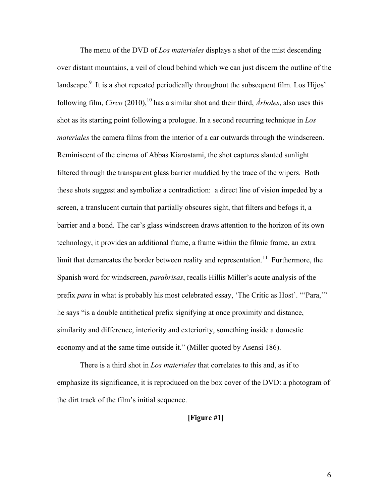The menu of the DVD of *Los materiales* displays a shot of the mist descending over distant mountains, a veil of cloud behind which we can just discern the outline of the landscape.<sup>9</sup> It is a shot repeated periodically throughout the subsequent film. Los Hijos' following film, *Circo* (2010), <sup>10</sup> has a similar shot and their third, *Árboles*, also uses this shot as its starting point following a prologue. In a second recurring technique in *Los materiales* the camera films from the interior of a car outwards through the windscreen. Reminiscent of the cinema of Abbas Kiarostami, the shot captures slanted sunlight filtered through the transparent glass barrier muddied by the trace of the wipers. Both these shots suggest and symbolize a contradiction: a direct line of vision impeded by a screen, a translucent curtain that partially obscures sight, that filters and befogs it, a barrier and a bond. The car's glass windscreen draws attention to the horizon of its own technology, it provides an additional frame, a frame within the filmic frame, an extra limit that demarcates the border between reality and representation.<sup>11</sup> Furthermore, the Spanish word for windscreen, *parabrisas*, recalls Hillis Miller's acute analysis of the prefix *para* in what is probably his most celebrated essay, 'The Critic as Host'. "'Para,'" he says "is a double antithetical prefix signifying at once proximity and distance, similarity and difference, interiority and exteriority, something inside a domestic economy and at the same time outside it." (Miller quoted by Asensi 186).

There is a third shot in *Los materiales* that correlates to this and, as if to emphasize its significance, it is reproduced on the box cover of the DVD: a photogram of the dirt track of the film's initial sequence.

**[Figure #1]**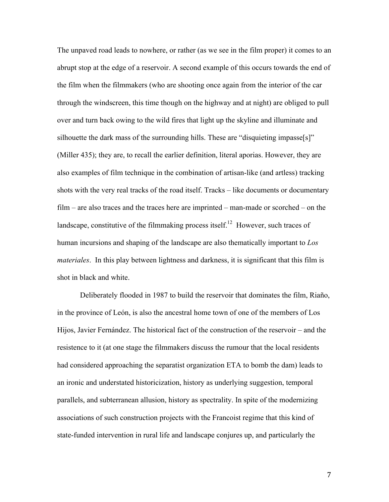The unpaved road leads to nowhere, or rather (as we see in the film proper) it comes to an abrupt stop at the edge of a reservoir. A second example of this occurs towards the end of the film when the filmmakers (who are shooting once again from the interior of the car through the windscreen, this time though on the highway and at night) are obliged to pull over and turn back owing to the wild fires that light up the skyline and illuminate and silhouette the dark mass of the surrounding hills. These are "disquieting impasse[s]" (Miller 435); they are, to recall the earlier definition, literal aporias. However, they are also examples of film technique in the combination of artisan-like (and artless) tracking shots with the very real tracks of the road itself. Tracks – like documents or documentary film – are also traces and the traces here are imprinted – man-made or scorched – on the landscape, constitutive of the filmmaking process itself.<sup>12</sup> However, such traces of human incursions and shaping of the landscape are also thematically important to *Los materiales*. In this play between lightness and darkness, it is significant that this film is shot in black and white.

Deliberately flooded in 1987 to build the reservoir that dominates the film, Riaño, in the province of León, is also the ancestral home town of one of the members of Los Hijos, Javier Fernández. The historical fact of the construction of the reservoir – and the resistence to it (at one stage the filmmakers discuss the rumour that the local residents had considered approaching the separatist organization ETA to bomb the dam) leads to an ironic and understated historicization, history as underlying suggestion, temporal parallels, and subterranean allusion, history as spectrality. In spite of the modernizing associations of such construction projects with the Francoist regime that this kind of state-funded intervention in rural life and landscape conjures up, and particularly the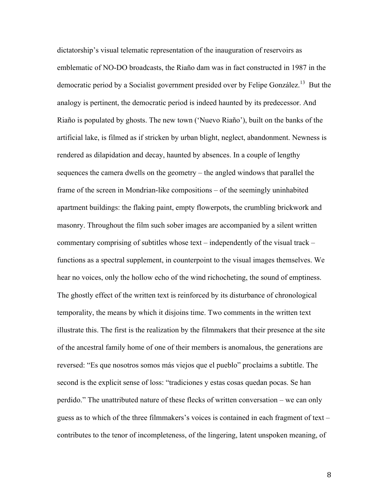dictatorship's visual telematic representation of the inauguration of reservoirs as emblematic of NO-DO broadcasts, the Riaño dam was in fact constructed in 1987 in the democratic period by a Socialist government presided over by Felipe González.<sup>13</sup> But the analogy is pertinent, the democratic period is indeed haunted by its predecessor. And Riaño is populated by ghosts. The new town ('Nuevo Riaño'), built on the banks of the artificial lake, is filmed as if stricken by urban blight, neglect, abandonment. Newness is rendered as dilapidation and decay, haunted by absences. In a couple of lengthy sequences the camera dwells on the geometry – the angled windows that parallel the frame of the screen in Mondrian-like compositions – of the seemingly uninhabited apartment buildings: the flaking paint, empty flowerpots, the crumbling brickwork and masonry. Throughout the film such sober images are accompanied by a silent written commentary comprising of subtitles whose text – independently of the visual track – functions as a spectral supplement, in counterpoint to the visual images themselves. We hear no voices, only the hollow echo of the wind richocheting, the sound of emptiness. The ghostly effect of the written text is reinforced by its disturbance of chronological temporality, the means by which it disjoins time. Two comments in the written text illustrate this. The first is the realization by the filmmakers that their presence at the site of the ancestral family home of one of their members is anomalous, the generations are reversed: "Es que nosotros somos más viejos que el pueblo" proclaims a subtitle. The second is the explicit sense of loss: "tradiciones y estas cosas quedan pocas. Se han perdido." The unattributed nature of these flecks of written conversation – we can only guess as to which of the three filmmakers's voices is contained in each fragment of text – contributes to the tenor of incompleteness, of the lingering, latent unspoken meaning, of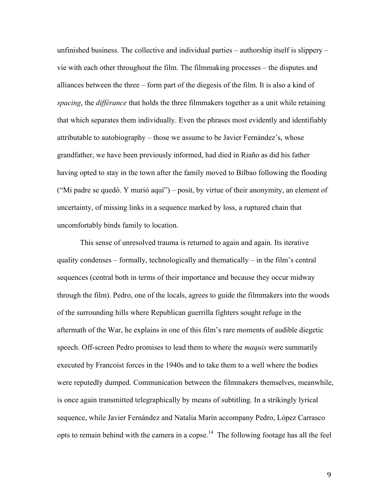unfinished business. The collective and individual parties – authorship itself is slippery – vie with each other throughout the film. The filmmaking processes – the disputes and alliances between the three – form part of the diegesis of the film. It is also a kind of *spacing*, the *différance* that holds the three filmmakers together as a unit while retaining that which separates them individually. Even the phrases most evidently and identifiably attributable to autobiography – those we assume to be Javier Fernández's, whose grandfather, we have been previously informed, had died in Riaño as did his father having opted to stay in the town after the family moved to Bilbao following the flooding ("Mi padre se quedó. Y murió aquí") – posit, by virtue of their anonymity, an element of uncertainty, of missing links in a sequence marked by loss, a ruptured chain that uncomfortably binds family to location.

This sense of unresolved trauma is returned to again and again. Its iterative quality condenses – formally, technologically and thematically – in the film's central sequences (central both in terms of their importance and because they occur midway through the film). Pedro, one of the locals, agrees to guide the filmmakers into the woods of the surrounding hills where Republican guerrilla fighters sought refuge in the aftermath of the War, he explains in one of this film's rare moments of audible diegetic speech. Off-screen Pedro promises to lead them to where the *maquis* were summarily executed by Francoist forces in the 1940s and to take them to a well where the bodies were reputedly dumped. Communication between the filmmakers themselves, meanwhile, is once again transmitted telegraphically by means of subtitling. In a strikingly lyrical sequence, while Javier Fernández and Natalia Marín accompany Pedro, López Carrasco opts to remain behind with the camera in a copse.14 The following footage has all the feel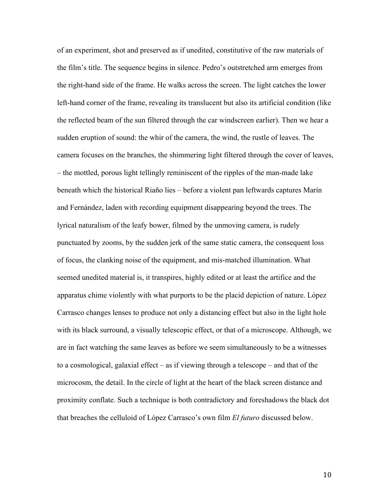of an experiment, shot and preserved as if unedited, constitutive of the raw materials of the film's title. The sequence begins in silence. Pedro's outstretched arm emerges from the right-hand side of the frame. He walks across the screen. The light catches the lower left-hand corner of the frame, revealing its translucent but also its artificial condition (like the reflected beam of the sun filtered through the car windscreen earlier). Then we hear a sudden eruption of sound: the whir of the camera, the wind, the rustle of leaves. The camera focuses on the branches, the shimmering light filtered through the cover of leaves, – the mottled, porous light tellingly reminiscent of the ripples of the man-made lake beneath which the historical Riaño lies – before a violent pan leftwards captures Marín and Fernández, laden with recording equipment disappearing beyond the trees. The lyrical naturalism of the leafy bower, filmed by the unmoving camera, is rudely punctuated by zooms, by the sudden jerk of the same static camera, the consequent loss of focus, the clanking noise of the equipment, and mis-matched illumination. What seemed unedited material is, it transpires, highly edited or at least the artifice and the apparatus chime violently with what purports to be the placid depiction of nature. López Carrasco changes lenses to produce not only a distancing effect but also in the light hole with its black surround, a visually telescopic effect, or that of a microscope. Although, we are in fact watching the same leaves as before we seem simultaneously to be a witnesses to a cosmological, galaxial effect – as if viewing through a telescope – and that of the microcosm, the detail. In the circle of light at the heart of the black screen distance and proximity conflate. Such a technique is both contradictory and foreshadows the black dot that breaches the celluloid of López Carrasco's own film *El futuro* discussed below.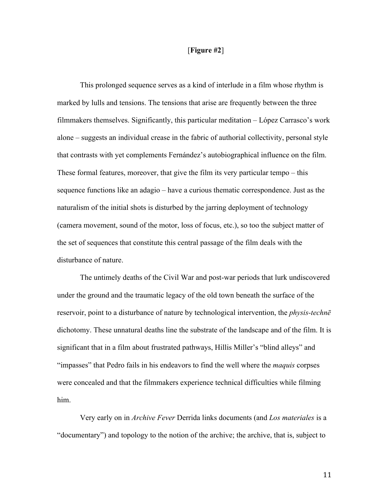## [**Figure #2**]

This prolonged sequence serves as a kind of interlude in a film whose rhythm is marked by lulls and tensions. The tensions that arise are frequently between the three filmmakers themselves. Significantly, this particular meditation – López Carrasco's work alone – suggests an individual crease in the fabric of authorial collectivity, personal style that contrasts with yet complements Fernández's autobiographical influence on the film. These formal features, moreover, that give the film its very particular tempo – this sequence functions like an adagio – have a curious thematic correspondence. Just as the naturalism of the initial shots is disturbed by the jarring deployment of technology (camera movement, sound of the motor, loss of focus, etc.), so too the subject matter of the set of sequences that constitute this central passage of the film deals with the disturbance of nature.

The untimely deaths of the Civil War and post-war periods that lurk undiscovered under the ground and the traumatic legacy of the old town beneath the surface of the reservoir, point to a disturbance of nature by technological intervention, the *physis-technē* dichotomy. These unnatural deaths line the substrate of the landscape and of the film. It is significant that in a film about frustrated pathways, Hillis Miller's "blind alleys" and "impasses" that Pedro fails in his endeavors to find the well where the *maquis* corpses were concealed and that the filmmakers experience technical difficulties while filming him.

Very early on in *Archive Fever* Derrida links documents (and *Los materiales* is a "documentary") and topology to the notion of the archive; the archive, that is, subject to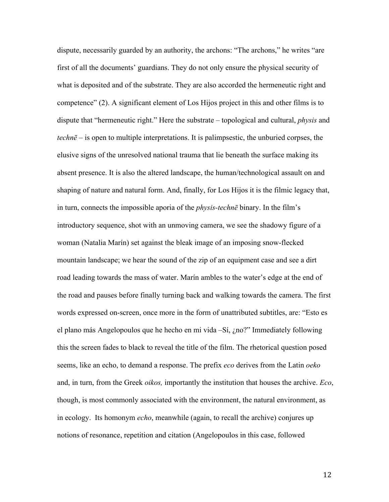dispute, necessarily guarded by an authority, the archons: "The archons," he writes "are first of all the documents' guardians. They do not only ensure the physical security of what is deposited and of the substrate. They are also accorded the hermeneutic right and competence" (2). A significant element of Los Hijos project in this and other films is to dispute that "hermeneutic right." Here the substrate – topological and cultural, *physis* and *technē* – is open to multiple interpretations. It is palimpsestic, the unburied corpses, the elusive signs of the unresolved national trauma that lie beneath the surface making its absent presence. It is also the altered landscape, the human/technological assault on and shaping of nature and natural form. And, finally, for Los Hijos it is the filmic legacy that, in turn, connects the impossible aporia of the *physis-technē* binary. In the film's introductory sequence, shot with an unmoving camera, we see the shadowy figure of a woman (Natalia Marín) set against the bleak image of an imposing snow-flecked mountain landscape; we hear the sound of the zip of an equipment case and see a dirt road leading towards the mass of water. Marín ambles to the water's edge at the end of the road and pauses before finally turning back and walking towards the camera. The first words expressed on-screen, once more in the form of unattributed subtitles, are: "Esto es el plano más Angelopoulos que he hecho en mi vida –Sí, ¿no?" Immediately following this the screen fades to black to reveal the title of the film. The rhetorical question posed seems, like an echo, to demand a response. The prefix *eco* derives from the Latin *oeko* and, in turn, from the Greek *oikos,* importantly the institution that houses the archive. *Eco*, though, is most commonly associated with the environment, the natural environment, as in ecology. Its homonym *echo*, meanwhile (again, to recall the archive) conjures up notions of resonance, repetition and citation (Angelopoulos in this case, followed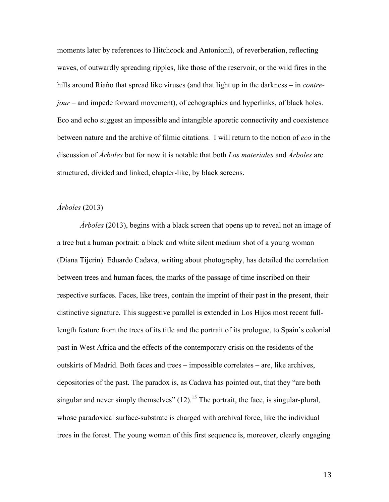moments later by references to Hitchcock and Antonioni), of reverberation, reflecting waves, of outwardly spreading ripples, like those of the reservoir, or the wild fires in the hills around Riaño that spread like viruses (and that light up in the darkness – in *contrejour* – and impede forward movement), of echographies and hyperlinks, of black holes. Eco and echo suggest an impossible and intangible aporetic connectivity and coexistence between nature and the archive of filmic citations. I will return to the notion of *eco* in the discussion of *Árboles* but for now it is notable that both *Los materiales* and *Árboles* are structured, divided and linked, chapter-like, by black screens.

# *Árboles* (2013)

*Árboles* (2013), begins with a black screen that opens up to reveal not an image of a tree but a human portrait: a black and white silent medium shot of a young woman (Diana Tijerín). Eduardo Cadava, writing about photography, has detailed the correlation between trees and human faces, the marks of the passage of time inscribed on their respective surfaces. Faces, like trees, contain the imprint of their past in the present, their distinctive signature. This suggestive parallel is extended in Los Hijos most recent fulllength feature from the trees of its title and the portrait of its prologue, to Spain's colonial past in West Africa and the effects of the contemporary crisis on the residents of the outskirts of Madrid. Both faces and trees – impossible correlates – are, like archives, depositories of the past. The paradox is, as Cadava has pointed out, that they "are both singular and never simply themselves"  $(12)$ <sup>15</sup>. The portrait, the face, is singular-plural, whose paradoxical surface-substrate is charged with archival force, like the individual trees in the forest. The young woman of this first sequence is, moreover, clearly engaging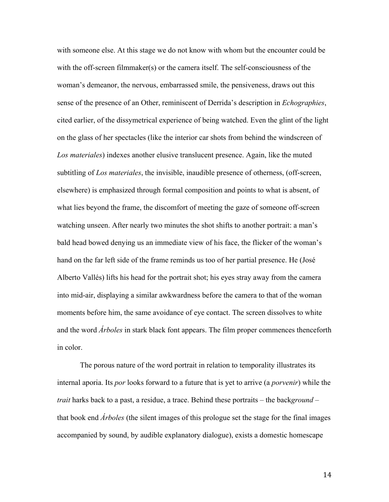with someone else. At this stage we do not know with whom but the encounter could be with the off-screen filmmaker(s) or the camera itself. The self-consciousness of the woman's demeanor, the nervous, embarrassed smile, the pensiveness, draws out this sense of the presence of an Other, reminiscent of Derrida's description in *Echographies*, cited earlier, of the dissymetrical experience of being watched. Even the glint of the light on the glass of her spectacles (like the interior car shots from behind the windscreen of *Los materiales*) indexes another elusive translucent presence. Again, like the muted subtitling of *Los materiales*, the invisible, inaudible presence of otherness, (off-screen, elsewhere) is emphasized through formal composition and points to what is absent, of what lies beyond the frame, the discomfort of meeting the gaze of someone off-screen watching unseen. After nearly two minutes the shot shifts to another portrait: a man's bald head bowed denying us an immediate view of his face, the flicker of the woman's hand on the far left side of the frame reminds us too of her partial presence. He (José Alberto Vallés) lifts his head for the portrait shot; his eyes stray away from the camera into mid-air, displaying a similar awkwardness before the camera to that of the woman moments before him, the same avoidance of eye contact. The screen dissolves to white and the word *Árboles* in stark black font appears. The film proper commences thenceforth in color.

The porous nature of the word portrait in relation to temporality illustrates its internal aporia. Its *por* looks forward to a future that is yet to arrive (a *porvenir*) while the *trait* harks back to a past, a residue, a trace. Behind these portraits – the back*ground* – that book end *Árboles* (the silent images of this prologue set the stage for the final images accompanied by sound, by audible explanatory dialogue), exists a domestic homescape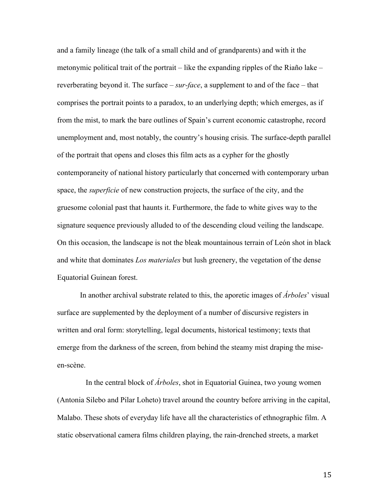and a family lineage (the talk of a small child and of grandparents) and with it the metonymic political trait of the portrait – like the expanding ripples of the Riaño lake – reverberating beyond it. The surface – *sur-face*, a supplement to and of the face – that comprises the portrait points to a paradox, to an underlying depth; which emerges, as if from the mist, to mark the bare outlines of Spain's current economic catastrophe, record unemployment and, most notably, the country's housing crisis. The surface-depth parallel of the portrait that opens and closes this film acts as a cypher for the ghostly contemporaneity of national history particularly that concerned with contemporary urban space, the *superficie* of new construction projects, the surface of the city, and the gruesome colonial past that haunts it. Furthermore, the fade to white gives way to the signature sequence previously alluded to of the descending cloud veiling the landscape. On this occasion, the landscape is not the bleak mountainous terrain of León shot in black and white that dominates *Los materiales* but lush greenery, the vegetation of the dense Equatorial Guinean forest.

In another archival substrate related to this, the aporetic images of *Árboles*' visual surface are supplemented by the deployment of a number of discursive registers in written and oral form: storytelling, legal documents, historical testimony; texts that emerge from the darkness of the screen, from behind the steamy mist draping the miseen-scène.

 In the central block of *Árboles*, shot in Equatorial Guinea, two young women (Antonia Silebo and Pilar Loheto) travel around the country before arriving in the capital, Malabo. These shots of everyday life have all the characteristics of ethnographic film. A static observational camera films children playing, the rain-drenched streets, a market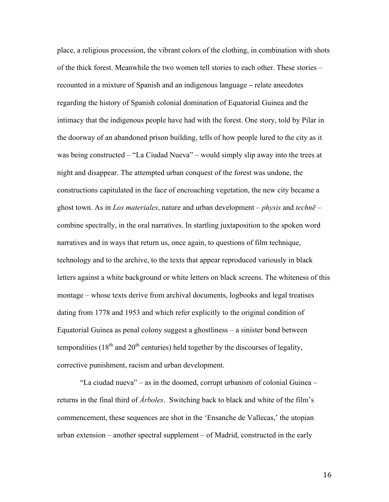place, a religious procession, the vibrant colors of the clothing, in combination with shots of the thick forest. Meanwhile the two women tell stories to each other. These stories – recounted in a mixture of Spanish and an indigenous language **–** relate anecdotes regarding the history of Spanish colonial domination of Equatorial Guinea and the intimacy that the indigenous people have had with the forest. One story, told by Pilar in the doorway of an abandoned prison building, tells of how people lured to the city as it was being constructed – "La Ciudad Nueva" – would simply slip away into the trees at night and disappear. The attempted urban conquest of the forest was undone, the constructions capitulated in the face of encroaching vegetation, the new city became a ghost town. As in *Los materiales*, nature and urban development – *physis* and *technē* – combine spectrally, in the oral narratives. In startling juxtaposition to the spoken word narratives and in ways that return us, once again, to questions of film technique, technology and to the archive, to the texts that appear reproduced variously in black letters against a white background or white letters on black screens. The whiteness of this montage – whose texts derive from archival documents, logbooks and legal treatises dating from 1778 and 1953 and which refer explicitly to the original condition of Equatorial Guinea as penal colony suggest a ghostliness – a sinister bond between temporalities (18<sup>th</sup> and 20<sup>th</sup> centuries) held together by the discourses of legality, corrective punishment, racism and urban development.

"La ciudad nueva" – as in the doomed, corrupt urbanism of colonial Guinea – returns in the final third of *Árboles*. Switching back to black and white of the film's commencement, these sequences are shot in the 'Ensanche de Vallecas,' the utopian urban extension – another spectral supplement – of Madrid, constructed in the early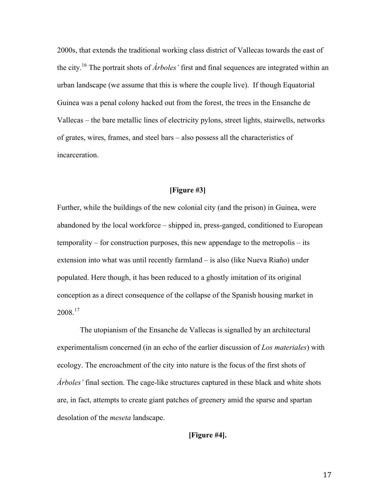2000s, that extends the traditional working class district of Vallecas towards the east of the city.16 The portrait shots of *Árboles'* first and final sequences are integrated within an urban landscape (we assume that this is where the couple live). If though Equatorial Guinea was a penal colony hacked out from the forest, the trees in the Ensanche de Vallecas – the bare metallic lines of electricity pylons, street lights, stairwells, networks of grates, wires, frames, and steel bars – also possess all the characteristics of incarceration.

# **[Figure #3]**

Further, while the buildings of the new colonial city (and the prison) in Guinea, were abandoned by the local workforce – shipped in, press-ganged, conditioned to European temporality – for construction purposes, this new appendage to the metropolis – its extension into what was until recently farmland – is also (like Nueva Riaño) under populated. Here though, it has been reduced to a ghostly imitation of its original conception as a direct consequence of the collapse of the Spanish housing market in 2008.<sup>17</sup>

The utopianism of the Ensanche de Vallecas is signalled by an architectural experimentalism concerned (in an echo of the earlier discussion of *Los materiales*) with ecology. The encroachment of the city into nature is the focus of the first shots of *Árboles'* final section. The cage-like structures captured in these black and white shots are, in fact, attempts to create giant patches of greenery amid the sparse and spartan desolation of the *meseta* landscape.

**[Figure #4].**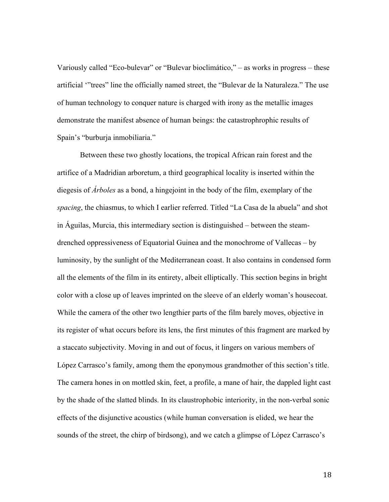Variously called "Eco-bulevar" or "Bulevar bioclimático," – as works in progress – these artificial '"trees" line the officially named street, the "Bulevar de la Naturaleza." The use of human technology to conquer nature is charged with irony as the metallic images demonstrate the manifest absence of human beings: the catastrophrophic results of Spain's "burburja inmobiliaria."

Between these two ghostly locations, the tropical African rain forest and the artifice of a Madridian arboretum, a third geographical locality is inserted within the diegesis of *Árboles* as a bond, a hingejoint in the body of the film, exemplary of the *spacing*, the chiasmus, to which I earlier referred. Titled "La Casa de la abuela" and shot in Águilas, Murcia, this intermediary section is distinguished – between the steamdrenched oppressiveness of Equatorial Guinea and the monochrome of Vallecas – by luminosity, by the sunlight of the Mediterranean coast. It also contains in condensed form all the elements of the film in its entirety, albeit elliptically. This section begins in bright color with a close up of leaves imprinted on the sleeve of an elderly woman's housecoat. While the camera of the other two lengthier parts of the film barely moves, objective in its register of what occurs before its lens, the first minutes of this fragment are marked by a staccato subjectivity. Moving in and out of focus, it lingers on various members of López Carrasco's family, among them the eponymous grandmother of this section's title. The camera hones in on mottled skin, feet, a profile, a mane of hair, the dappled light cast by the shade of the slatted blinds. In its claustrophobic interiority, in the non-verbal sonic effects of the disjunctive acoustics (while human conversation is elided, we hear the sounds of the street, the chirp of birdsong), and we catch a glimpse of López Carrasco's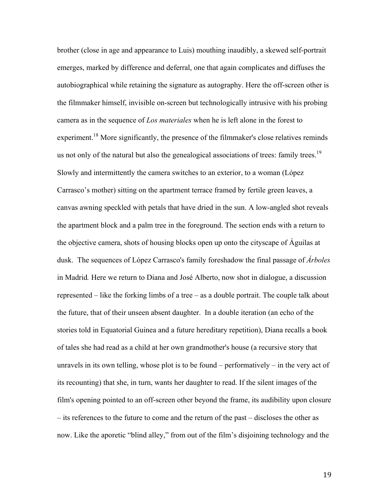brother (close in age and appearance to Luis) mouthing inaudibly, a skewed self-portrait emerges, marked by difference and deferral, one that again complicates and diffuses the autobiographical while retaining the signature as autography. Here the off-screen other is the filmmaker himself, invisible on-screen but technologically intrusive with his probing camera as in the sequence of *Los materiales* when he is left alone in the forest to experiment.<sup>18</sup> More significantly, the presence of the filmmaker's close relatives reminds us not only of the natural but also the genealogical associations of trees: family trees.<sup>19</sup> Slowly and intermittently the camera switches to an exterior, to a woman (López Carrasco's mother) sitting on the apartment terrace framed by fertile green leaves, a canvas awning speckled with petals that have dried in the sun. A low-angled shot reveals the apartment block and a palm tree in the foreground. The section ends with a return to the objective camera, shots of housing blocks open up onto the cityscape of Águilas at dusk. The sequences of López Carrasco's family foreshadow the final passage of *Árboles*  in Madrid*.* Here we return to Diana and José Alberto, now shot in dialogue, a discussion represented – like the forking limbs of a tree – as a double portrait. The couple talk about the future, that of their unseen absent daughter. In a double iteration (an echo of the stories told in Equatorial Guinea and a future hereditary repetition), Diana recalls a book of tales she had read as a child at her own grandmother's house (a recursive story that unravels in its own telling, whose plot is to be found – performatively – in the very act of its recounting) that she, in turn, wants her daughter to read. If the silent images of the film's opening pointed to an off-screen other beyond the frame, its audibility upon closure – its references to the future to come and the return of the past – discloses the other as now. Like the aporetic "blind alley," from out of the film's disjoining technology and the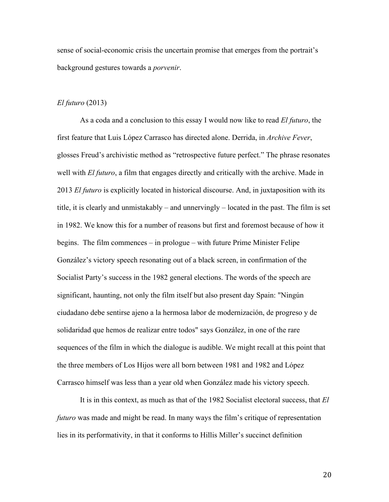sense of social-economic crisis the uncertain promise that emerges from the portrait's background gestures towards a *porvenir*.

#### *El futuro* (2013)

As a coda and a conclusion to this essay I would now like to read *El futuro*, the first feature that Luis López Carrasco has directed alone. Derrida, in *Archive Fever*, glosses Freud's archivistic method as "retrospective future perfect." The phrase resonates well with *El futuro*, a film that engages directly and critically with the archive. Made in 2013 *El futuro* is explicitly located in historical discourse. And, in juxtaposition with its title, it is clearly and unmistakably – and unnervingly – located in the past. The film is set in 1982. We know this for a number of reasons but first and foremost because of how it begins. The film commences – in prologue – with future Prime Minister Felipe González's victory speech resonating out of a black screen, in confirmation of the Socialist Party's success in the 1982 general elections. The words of the speech are significant, haunting, not only the film itself but also present day Spain: "Ningún ciudadano debe sentirse ajeno a la hermosa labor de modernización, de progreso y de solidaridad que hemos de realizar entre todos" says González, in one of the rare sequences of the film in which the dialogue is audible. We might recall at this point that the three members of Los Hijos were all born between 1981 and 1982 and López Carrasco himself was less than a year old when González made his victory speech.

It is in this context, as much as that of the 1982 Socialist electoral success, that *El futuro* was made and might be read. In many ways the film's critique of representation lies in its performativity, in that it conforms to Hillis Miller's succinct definition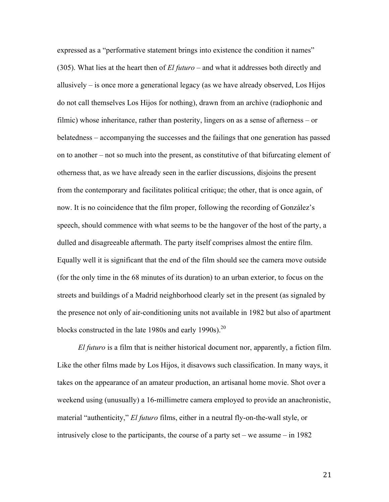expressed as a "performative statement brings into existence the condition it names" (305). What lies at the heart then of *El futuro* – and what it addresses both directly and allusively – is once more a generational legacy (as we have already observed, Los Hijos do not call themselves Los Hijos for nothing), drawn from an archive (radiophonic and filmic) whose inheritance, rather than posterity, lingers on as a sense of afterness – or belatedness – accompanying the successes and the failings that one generation has passed on to another – not so much into the present, as constitutive of that bifurcating element of otherness that, as we have already seen in the earlier discussions, disjoins the present from the contemporary and facilitates political critique; the other, that is once again, of now. It is no coincidence that the film proper, following the recording of González's speech, should commence with what seems to be the hangover of the host of the party, a dulled and disagreeable aftermath. The party itself comprises almost the entire film. Equally well it is significant that the end of the film should see the camera move outside (for the only time in the 68 minutes of its duration) to an urban exterior, to focus on the streets and buildings of a Madrid neighborhood clearly set in the present (as signaled by the presence not only of air-conditioning units not available in 1982 but also of apartment blocks constructed in the late 1980s and early 1990s).<sup>20</sup>

*El futuro* is a film that is neither historical document nor, apparently, a fiction film. Like the other films made by Los Hijos, it disavows such classification. In many ways, it takes on the appearance of an amateur production, an artisanal home movie. Shot over a weekend using (unusually) a 16-millimetre camera employed to provide an anachronistic, material "authenticity," *El futuro* films, either in a neutral fly-on-the-wall style, or intrusively close to the participants, the course of a party set – we assume – in 1982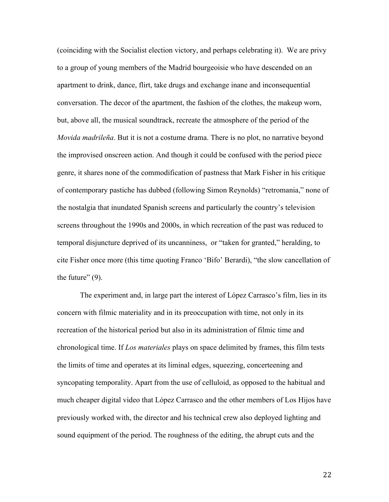(coinciding with the Socialist election victory, and perhaps celebrating it). We are privy to a group of young members of the Madrid bourgeoisie who have descended on an apartment to drink, dance, flirt, take drugs and exchange inane and inconsequential conversation. The decor of the apartment, the fashion of the clothes, the makeup worn, but, above all, the musical soundtrack, recreate the atmosphere of the period of the *Movida madrileña*. But it is not a costume drama. There is no plot, no narrative beyond the improvised onscreen action. And though it could be confused with the period piece genre, it shares none of the commodification of pastness that Mark Fisher in his critique of contemporary pastiche has dubbed (following Simon Reynolds) "retromania," none of the nostalgia that inundated Spanish screens and particularly the country's television screens throughout the 1990s and 2000s, in which recreation of the past was reduced to temporal disjuncture deprived of its uncanniness, or "taken for granted," heralding, to cite Fisher once more (this time quoting Franco 'Bifo' Berardi), "the slow cancellation of the future"  $(9)$ .

The experiment and, in large part the interest of López Carrasco's film, lies in its concern with filmic materiality and in its preoccupation with time, not only in its recreation of the historical period but also in its administration of filmic time and chronological time. If *Los materiales* plays on space delimited by frames, this film tests the limits of time and operates at its liminal edges, squeezing, concerteening and syncopating temporality. Apart from the use of celluloid, as opposed to the habitual and much cheaper digital video that López Carrasco and the other members of Los Hijos have previously worked with, the director and his technical crew also deployed lighting and sound equipment of the period. The roughness of the editing, the abrupt cuts and the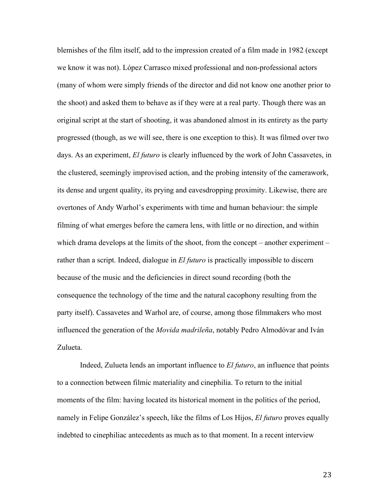blemishes of the film itself, add to the impression created of a film made in 1982 (except we know it was not). López Carrasco mixed professional and non-professional actors (many of whom were simply friends of the director and did not know one another prior to the shoot) and asked them to behave as if they were at a real party. Though there was an original script at the start of shooting, it was abandoned almost in its entirety as the party progressed (though, as we will see, there is one exception to this). It was filmed over two days. As an experiment, *El futuro* is clearly influenced by the work of John Cassavetes, in the clustered, seemingly improvised action, and the probing intensity of the camerawork, its dense and urgent quality, its prying and eavesdropping proximity. Likewise, there are overtones of Andy Warhol's experiments with time and human behaviour: the simple filming of what emerges before the camera lens, with little or no direction, and within which drama develops at the limits of the shoot, from the concept – another experiment – rather than a script. Indeed, dialogue in *El futuro* is practically impossible to discern because of the music and the deficiencies in direct sound recording (both the consequence the technology of the time and the natural cacophony resulting from the party itself). Cassavetes and Warhol are, of course, among those filmmakers who most influenced the generation of the *Movida madrileña*, notably Pedro Almodóvar and Iván Zulueta.

Indeed, Zulueta lends an important influence to *El futuro*, an influence that points to a connection between filmic materiality and cinephilia. To return to the initial moments of the film: having located its historical moment in the politics of the period, namely in Felipe González's speech, like the films of Los Hijos, *El futuro* proves equally indebted to cinephiliac antecedents as much as to that moment. In a recent interview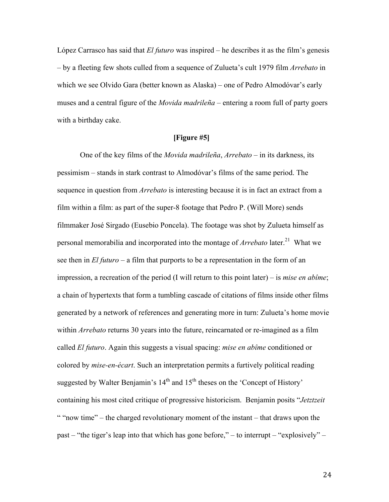López Carrasco has said that *El futuro* was inspired – he describes it as the film's genesis – by a fleeting few shots culled from a sequence of Zulueta's cult 1979 film *Arrebato* in which we see Olvido Gara (better known as Alaska) – one of Pedro Almodóvar's early muses and a central figure of the *Movida madrileña* – entering a room full of party goers with a birthday cake.

## **[Figure #5]**

One of the key films of the *Movida madrileña*, *Arrebato* – in its darkness, its pessimism – stands in stark contrast to Almodóvar's films of the same period. The sequence in question from *Arrebato* is interesting because it is in fact an extract from a film within a film: as part of the super-8 footage that Pedro P. (Will More) sends filmmaker José Sirgado (Eusebio Poncela). The footage was shot by Zulueta himself as personal memorabilia and incorporated into the montage of *Arrebato* later.<sup>21</sup> What we see then in *El futuro* – a film that purports to be a representation in the form of an impression, a recreation of the period (I will return to this point later) – is *mise en abîme*; a chain of hypertexts that form a tumbling cascade of citations of films inside other films generated by a network of references and generating more in turn: Zulueta's home movie within *Arrebato* returns 30 years into the future, reincarnated or re-imagined as a film called *El futuro*. Again this suggests a visual spacing: *mise en abîme* conditioned or colored by *mise-en-écart*. Such an interpretation permits a furtively political reading suggested by Walter Benjamin's  $14<sup>th</sup>$  and  $15<sup>th</sup>$  theses on the 'Concept of History' containing his most cited critique of progressive historicism. Benjamin posits "*Jetztzeit* " "now time" – the charged revolutionary moment of the instant – that draws upon the past – "the tiger's leap into that which has gone before," – to interrupt – "explosively" –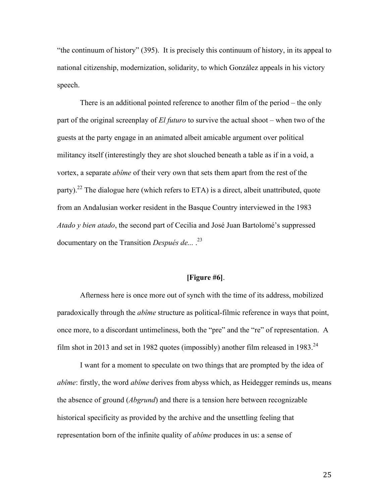"the continuum of history" (395). It is precisely this continuum of history, in its appeal to national citizenship, modernization, solidarity, to which González appeals in his victory speech.

There is an additional pointed reference to another film of the period – the only part of the original screenplay of *El futuro* to survive the actual shoot – when two of the guests at the party engage in an animated albeit amicable argument over political militancy itself (interestingly they are shot slouched beneath a table as if in a void, a vortex, a separate *abîme* of their very own that sets them apart from the rest of the party).<sup>22</sup> The dialogue here (which refers to ETA) is a direct, albeit unattributed, quote from an Andalusian worker resident in the Basque Country interviewed in the 1983 *Atado y bien atado*, the second part of Cecilia and José Juan Bartolomé's suppressed documentary on the Transition *Después de...* .23

#### **[Figure #6]**.

Afterness here is once more out of synch with the time of its address, mobilized paradoxically through the *abîme* structure as political-filmic reference in ways that point, once more, to a discordant untimeliness, both the "pre" and the "re" of representation. A film shot in 2013 and set in 1982 quotes (impossibly) another film released in 1983.<sup>24</sup>

I want for a moment to speculate on two things that are prompted by the idea of *abîme*: firstly, the word *abîme* derives from abyss which, as Heidegger reminds us, means the absence of ground (*Abgrund*) and there is a tension here between recognizable historical specificity as provided by the archive and the unsettling feeling that representation born of the infinite quality of *abîme* produces in us: a sense of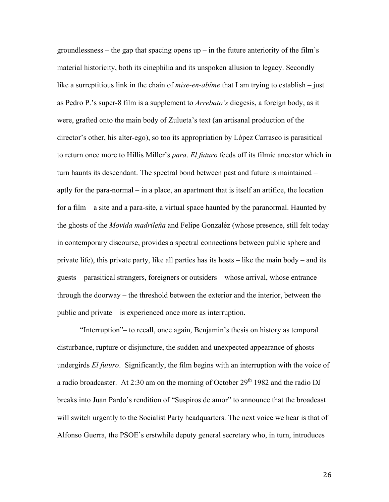groundlessness – the gap that spacing opens  $up$  – in the future anteriority of the film's material historicity, both its cinephilia and its unspoken allusion to legacy. Secondly – like a surreptitious link in the chain of *mise-en-abîme* that I am trying to establish – just as Pedro P.'s super-8 film is a supplement to *Arrebato's* diegesis, a foreign body, as it were, grafted onto the main body of Zulueta's text (an artisanal production of the director's other, his alter-ego), so too its appropriation by López Carrasco is parasitical – to return once more to Hillis Miller's *para*. *El futuro* feeds off its filmic ancestor which in turn haunts its descendant. The spectral bond between past and future is maintained – aptly for the para-normal – in a place, an apartment that is itself an artifice, the location for a film – a site and a para-site, a virtual space haunted by the paranormal. Haunted by the ghosts of the *Movida madrileña* and Felipe Gonzaléz (whose presence, still felt today in contemporary discourse, provides a spectral connections between public sphere and private life), this private party, like all parties has its hosts – like the main body – and its guests – parasitical strangers, foreigners or outsiders – whose arrival, whose entrance through the doorway – the threshold between the exterior and the interior, between the public and private – is experienced once more as interruption.

"Interruption"– to recall, once again, Benjamin's thesis on history as temporal disturbance, rupture or disjuncture, the sudden and unexpected appearance of ghosts – undergirds *El futuro*. Significantly, the film begins with an interruption with the voice of a radio broadcaster. At 2:30 am on the morning of October  $29<sup>th</sup> 1982$  and the radio DJ breaks into Juan Pardo's rendition of "Suspiros de amor" to announce that the broadcast will switch urgently to the Socialist Party headquarters. The next voice we hear is that of Alfonso Guerra, the PSOE's erstwhile deputy general secretary who, in turn, introduces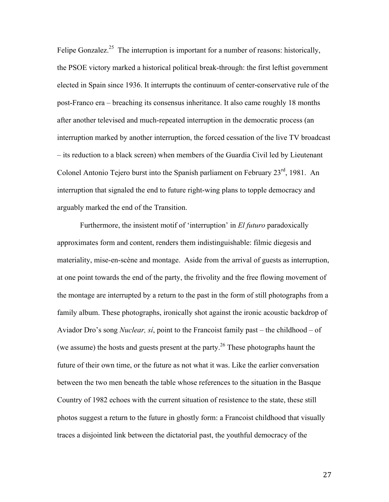Felipe Gonzalez.<sup>25</sup> The interruption is important for a number of reasons: historically, the PSOE victory marked a historical political break-through: the first leftist government elected in Spain since 1936. It interrupts the continuum of center-conservative rule of the post-Franco era – breaching its consensus inheritance. It also came roughly 18 months after another televised and much-repeated interruption in the democratic process (an interruption marked by another interruption, the forced cessation of the live TV broadcast – its reduction to a black screen) when members of the Guardia Civil led by Lieutenant Colonel Antonio Tejero burst into the Spanish parliament on February 23<sup>rd</sup>, 1981. An interruption that signaled the end to future right-wing plans to topple democracy and arguably marked the end of the Transition.

Furthermore, the insistent motif of 'interruption' in *El futuro* paradoxically approximates form and content, renders them indistinguishable: filmic diegesis and materiality, mise-en-scène and montage. Aside from the arrival of guests as interruption, at one point towards the end of the party, the frivolity and the free flowing movement of the montage are interrupted by a return to the past in the form of still photographs from a family album. These photographs, ironically shot against the ironic acoustic backdrop of Aviador Dro's song *Nuclear, sí*, point to the Francoist family past – the childhood – of (we assume) the hosts and guests present at the party.<sup>26</sup> These photographs haunt the future of their own time, or the future as not what it was. Like the earlier conversation between the two men beneath the table whose references to the situation in the Basque Country of 1982 echoes with the current situation of resistence to the state, these still photos suggest a return to the future in ghostly form: a Francoist childhood that visually traces a disjointed link between the dictatorial past, the youthful democracy of the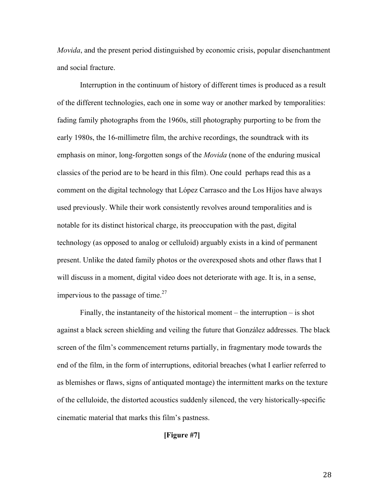*Movida*, and the present period distinguished by economic crisis, popular disenchantment and social fracture.

Interruption in the continuum of history of different times is produced as a result of the different technologies, each one in some way or another marked by temporalities: fading family photographs from the 1960s, still photography purporting to be from the early 1980s, the 16-millimetre film, the archive recordings, the soundtrack with its emphasis on minor, long-forgotten songs of the *Movida* (none of the enduring musical classics of the period are to be heard in this film). One could perhaps read this as a comment on the digital technology that López Carrasco and the Los Hijos have always used previously. While their work consistently revolves around temporalities and is notable for its distinct historical charge, its preoccupation with the past, digital technology (as opposed to analog or celluloid) arguably exists in a kind of permanent present. Unlike the dated family photos or the overexposed shots and other flaws that I will discuss in a moment, digital video does not deteriorate with age. It is, in a sense, impervious to the passage of time. $27$ 

Finally, the instantaneity of the historical moment – the interruption – is shot against a black screen shielding and veiling the future that González addresses. The black screen of the film's commencement returns partially, in fragmentary mode towards the end of the film, in the form of interruptions, editorial breaches (what I earlier referred to as blemishes or flaws, signs of antiquated montage) the intermittent marks on the texture of the celluloide, the distorted acoustics suddenly silenced, the very historically-specific cinematic material that marks this film's pastness.

**[Figure #7]**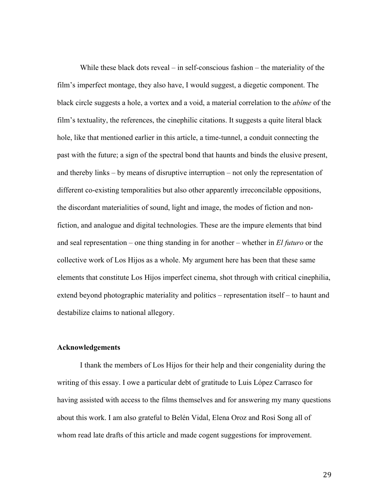While these black dots reveal – in self-conscious fashion – the materiality of the film's imperfect montage, they also have, I would suggest, a diegetic component. The black circle suggests a hole, a vortex and a void, a material correlation to the *abîme* of the film's textuality, the references, the cinephilic citations. It suggests a quite literal black hole, like that mentioned earlier in this article, a time-tunnel, a conduit connecting the past with the future; a sign of the spectral bond that haunts and binds the elusive present, and thereby links – by means of disruptive interruption – not only the representation of different co-existing temporalities but also other apparently irreconcilable oppositions, the discordant materialities of sound, light and image, the modes of fiction and nonfiction, and analogue and digital technologies. These are the impure elements that bind and seal representation – one thing standing in for another – whether in *El futuro* or the collective work of Los Hijos as a whole. My argument here has been that these same elements that constitute Los Hijos imperfect cinema, shot through with critical cinephilia, extend beyond photographic materiality and politics – representation itself – to haunt and destabilize claims to national allegory.

#### **Acknowledgements**

I thank the members of Los Hijos for their help and their congeniality during the writing of this essay. I owe a particular debt of gratitude to Luis López Carrasco for having assisted with access to the films themselves and for answering my many questions about this work. I am also grateful to Belén Vidal, Elena Oroz and Rosi Song all of whom read late drafts of this article and made cogent suggestions for improvement.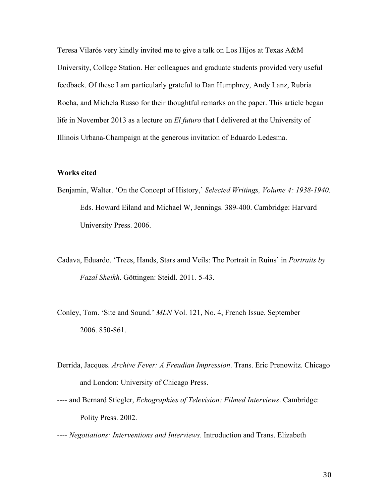Teresa Vilarós very kindly invited me to give a talk on Los Hijos at Texas A&M University, College Station. Her colleagues and graduate students provided very useful feedback. Of these I am particularly grateful to Dan Humphrey, Andy Lanz, Rubria Rocha, and Michela Russo for their thoughtful remarks on the paper. This article began life in November 2013 as a lecture on *El futuro* that I delivered at the University of Illinois Urbana-Champaign at the generous invitation of Eduardo Ledesma.

## **Works cited**

- Benjamin, Walter. 'On the Concept of History,' *Selected Writings, Volume 4: 1938-1940*. Eds. Howard Eiland and Michael W, Jennings. 389-400. Cambridge: Harvard University Press. 2006.
- Cadava, Eduardo. 'Trees, Hands, Stars amd Veils: The Portrait in Ruins' in *Portraits by Fazal Sheikh*. Göttingen: Steidl. 2011. 5-43.
- Conley, Tom. 'Site and Sound.' *MLN* Vol. 121, No. 4, French Issue. September 2006. 850-861.
- Derrida, Jacques. *Archive Fever: A Freudian Impression*. Trans. Eric Prenowitz. Chicago and London: University of Chicago Press.
- *----* and Bernard Stiegler, *Echographies of Television: Filmed Interviews*. Cambridge: Polity Press. 2002.
- *---- Negotiations: Interventions and Interviews*. Introduction and Trans. Elizabeth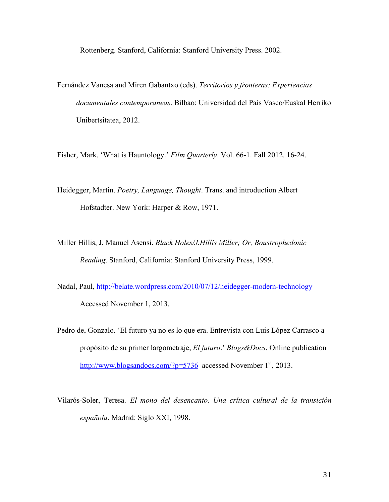Rottenberg. Stanford, California: Stanford University Press. 2002.

Fernández Vanesa and Miren Gabantxo (eds). *Territorios y fronteras: Experiencias documentales contemporaneas*. Bilbao: Universidad del País Vasco/Euskal Herriko Unibertsitatea, 2012.

Fisher, Mark. 'What is Hauntology.' *Film Quarterly*. Vol. 66-1. Fall 2012. 16-24.

- Heidegger, Martin. *Poetry, Language, Thought*. Trans. and introduction Albert Hofstadter. New York: Harper & Row, 1971.
- Miller Hillis, J, Manuel Asensi. *Black Holes/J.Hillis Miller; Or, Boustrophedonic Reading*. Stanford, California: Stanford University Press, 1999.
- Nadal, Paul, http://belate.wordpress.com/2010/07/12/heidegger-modern-technology Accessed November 1, 2013.
- Pedro de, Gonzalo. 'El futuro ya no es lo que era. Entrevista con Luis López Carrasco a propósito de su primer largometraje, *El futuro*.' *Blogs&Docs*. Online publication http://www.blogsandocs.com/?p=5736 accessed November  $1<sup>st</sup>$ , 2013.
- Vilarós-Soler, Teresa. *El mono del desencanto. Una crítica cultural de la transición española*. Madrid: Siglo XXI, 1998.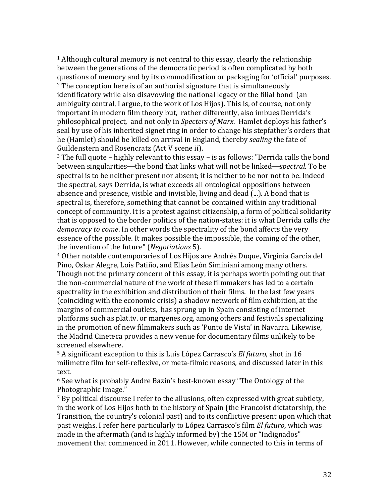<u> 1989 - Andrea San Andrea San Andrea San Andrea San Andrea San Andrea San Andrea San Andrea San Andrea San An</u>  $1$  Although cultural memory is not central to this essay, clearly the relationship between the generations of the democratic period is often complicated by both questions of memory and by its commodification or packaging for 'official' purposes.  $2$  The conception here is of an authorial signature that is simultaneously

identificatory while also disavowing the national legacy or the filial bond (an ambiguity central, I argue, to the work of Los Hijos). This is, of course, not only important in modern film theory but, rather differently, also imbues Derrida's philosophical project, and not only in *Specters of Marx*. Hamlet deploys his father's seal by use of his inherited signet ring in order to change his stepfather's orders that he (Hamlet) should be killed on arrival in England, thereby *sealing* the fate of Guildenstern and Rosencratz (Act V scene ii).

 $3$  The full quote – highly relevant to this essay – is as follows: "Derrida calls the bond between singularities—the bond that links what will not be linked—*spectral*. To be spectral is to be neither present nor absent; it is neither to be nor not to be. Indeed the spectral, says Derrida, is what exceeds all ontological oppositions between absence and presence, visible and invisible, living and dead  $(\ldots)$ . A bond that is spectral is, therefore, something that cannot be contained within any traditional concept of community. It is a protest against citizenship, a form of political solidarity that is opposed to the border politics of the nation-states: it is what Derrida calls *the democracy to come*. In other words the spectrality of the bond affects the very essence of the possible. It makes possible the impossible, the coming of the other, the invention of the future" (*Negotiations* 5).

<sup>4</sup> Other notable contemporaries of Los Hijos are Andrés Duque, Virginia García del Pino, Oskar Alegre, Lois Patiño, and Elias León Siminiani among many others. Though not the primary concern of this essay, it is perhaps worth pointing out that the non-commercial nature of the work of these filmmakers has led to a certain spectrality in the exhibition and distribution of their films. In the last few years (coinciding with the economic crisis) a shadow network of film exhibition, at the margins of commercial outlets, has sprung up in Spain consisting of internet platforms such as plat.tv. or margenes.org, among others and festivals specializing in the promotion of new filmmakers such as 'Punto de Vista' in Navarra. Likewise, the Madrid Cineteca provides a new venue for documentary films unlikely to be screened elsewhere.

<sup>5</sup> A significant exception to this is Luis López Carrasco's *El futuro*, shot in 16 milimetre film for self-reflexive, or meta-filmic reasons, and discussed later in this text. 

 $6$  See what is probably Andre Bazin's best-known essay "The Ontology of the Photographic Image."

 $7$  By political discourse I refer to the allusions, often expressed with great subtlety, in the work of Los Hijos both to the history of Spain (the Francoist dictatorship, the Transition, the country's colonial past) and to its conflictive present upon which that past weighs. I refer here particularly to López Carrasco's film *El futuro*, which was made in the aftermath (and is highly informed by) the 15M or "Indignados" movement that commenced in 2011. However, while connected to this in terms of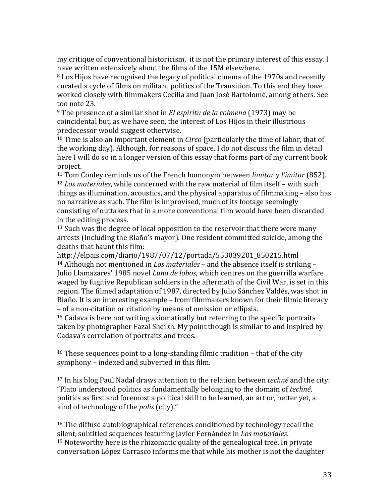my critique of conventional historicism, it is not the primary interest of this essay. I have written extensively about the films of the 15M elsewhere.

<u> 1989 - Andrea San Andrea San Andrea San Andrea San Andrea San Andrea San Andrea San Andrea San Andrea San An</u>

 $8$  Los Hijos have recognised the legacy of political cinema of the 1970s and recently curated a cycle of films on militant politics of the Transition. To this end they have worked closely with filmmakers Cecilia and Juan José Bartolomé, among others. See too note 23.

<sup>9</sup> The presence of a similar shot in *El espíritu de la colmena* (1973) may be coincidental but, as we have seen, the interest of Los Hijos in their illustrious predecessor would suggest otherwise.

<sup>10</sup> Time is also an important element in *Circo* (particularly the time of labor, that of the working day). Although, for reasons of space, I do not discuss the film in detail here I will do so in a longer version of this essay that forms part of my current book project.

<sup>11</sup> Tom Conley reminds us of the French homonym between *limitar* v *l'imitar* (852). <sup>12</sup> *Los materiales*, while concerned with the raw material of film itself – with such things as illumination, acoustics, and the physical apparatus of filmmaking  $-$  also has no narrative as such. The film is improvised, much of its footage seemingly consisting of outtakes that in a more conventional film would have been discarded in the editing process.

 $13$  Such was the degree of local opposition to the reservoir that there were many arrests (including the Riaño's mayor). One resident committed suicide, among the deaths that haunt this film:

http://elpais.com/diario/1987/07/12/portada/553039201\_850215.html <sup>14</sup> Although not mentioned in *Los materiales* – and the absence itself is striking – Julio Llamazares' 1985 novel *Luna de lobos*, which centres on the guerrilla warfare waged by fugitive Republican soldiers in the aftermath of the Civil War, is set in this region. The filmed adaptation of 1987, directed by Julio Sánchez Valdés, was shot in Riaño. It is an interesting example - from filmmakers known for their filmic literacy – of a non-citation or citation by means of omission or ellipsis.

 $15$  Cadava is here not writing axiomatically but referring to the specific portraits taken by photographer Fazal Sheikh. My point though is similar to and inspired by Cadava's correlation of portraits and trees.

<sup>16</sup> These sequences point to a long-standing filmic tradition – that of the city symphony – indexed and subverted in this film.

<sup>17</sup> In his blog Paul Nadal draws attention to the relation between *techné* and the city: "Plato understood politics as fundamentally belonging to the domain of *techné*, politics as first and foremost a political skill to be learned, an art or, better yet, a kind of technology of the *polis* (city)."

 $18$  The diffuse autobiographical references conditioned by technology recall the silent, subtitled sequences featuring Javier Fernández in *Los materiales*.  $19$  Noteworthy here is the rhizomatic quality of the genealogical tree. In private conversation López Carrasco informs me that while his mother is not the daughter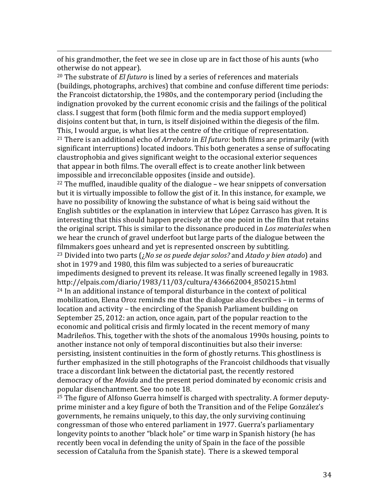of his grandmother, the feet we see in close up are in fact those of his aunts (who otherwise do not appear).

<u> 1989 - Andrea San Andrea San Andrea San Andrea San Andrea San Andrea San Andrea San Andrea San Andrea San An</u>

<sup>20</sup> The substrate of *El futuro* is lined by a series of references and materials (buildings, photographs, archives) that combine and confuse different time periods: the Francoist dictatorship, the 1980s, and the contemporary period (including the indignation provoked by the current economic crisis and the failings of the political class. I suggest that form (both filmic form and the media support employed) disjoins content but that, in turn, is itself disjoined within the diegesis of the film. This, I would argue, is what lies at the centre of the critique of representation. <sup>21</sup> There is an additional echo of *Arrebato* in *El futuro*: both films are primarily (with significant interruptions) located indoors. This both generates a sense of suffocating claustrophobia and gives significant weight to the occasional exterior sequences that appear in both films. The overall effect is to create another link between impossible and irreconcilable opposites (inside and outside).

 $22$  The muffled, inaudible quality of the dialogue – we hear snippets of conversation but it is virtually impossible to follow the gist of it. In this instance, for example, we have no possibility of knowing the substance of what is being said without the English subtitles or the explanation in interview that López Carrasco has given. It is interesting that this should happen precisely at the one point in the film that retains the original script. This is similar to the dissonance produced in *Los materiales* when we hear the crunch of gravel underfoot but large parts of the dialogue between the filmmakers goes unheard and yet is represented onscreen by subtitling.  $23$  Divided into two parts  $(jNo)$  *se os puede dejar solos?* and *Atado*  $v$  *bien atado*) and shot in 1979 and 1980, this film was subjected to a series of bureaucratic impediments designed to prevent its release. It was finally screened legally in 1983. http://elpais.com/diario/1983/11/03/cultura/436662004\_850215.html  $24$  In an additional instance of temporal disturbance in the context of political mobilization, Elena Oroz reminds me that the dialogue also describes - in terms of location and activity – the encircling of the Spanish Parliament building on September 25, 2012; an action, once again, part of the popular reaction to the economic and political crisis and firmly located in the recent memory of many Madrileños. This, together with the shots of the anomalous 1990s housing, points to another instance not only of temporal discontinuities but also their inverse: persisting, insistent continuities in the form of ghostly returns. This ghostliness is further emphasized in the still photographs of the Francoist childhoods that visually trace a discordant link between the dictatorial past, the recently restored democracy of the *Movida* and the present period dominated by economic crisis and popular disenchantment. See too note 18.

 $25$  The figure of Alfonso Guerra himself is charged with spectrality. A former deputyprime minister and a key figure of both the Transition and of the Felipe González's governments, he remains uniquely, to this day, the only surviving continuing congressman of those who entered parliament in 1977. Guerra's parliamentary longevity points to another "black hole" or time warp in Spanish history (he has recently been vocal in defending the unity of Spain in the face of the possible secession of Cataluña from the Spanish state). There is a skewed temporal